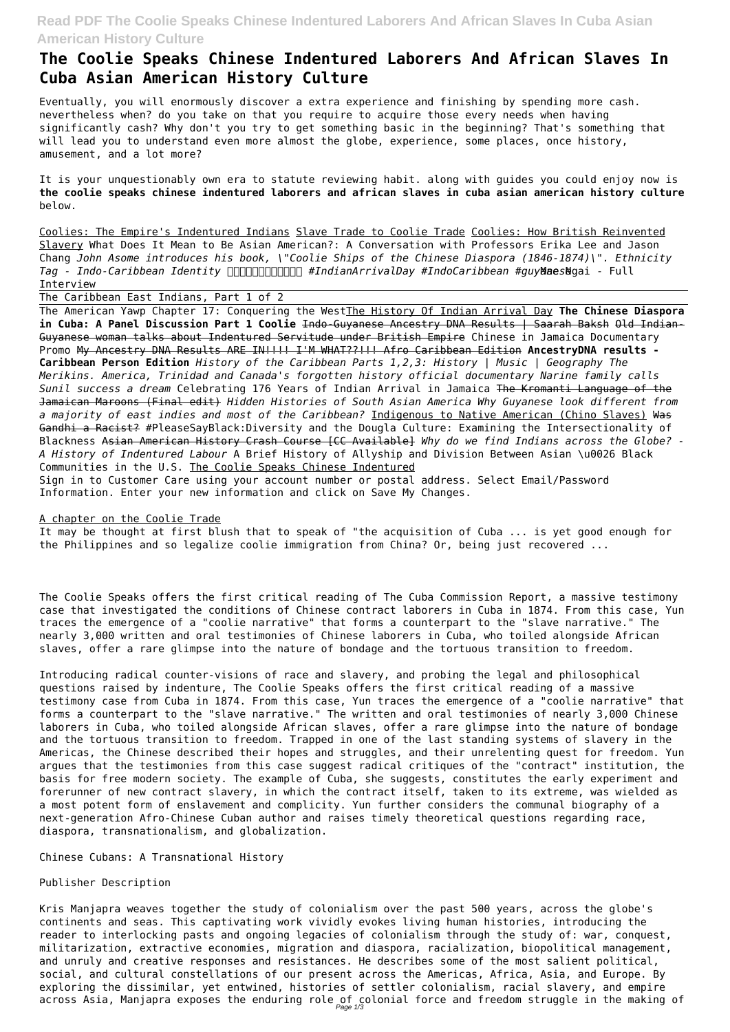## **Read PDF The Coolie Speaks Chinese Indentured Laborers And African Slaves In Cuba Asian American History Culture**

## **The Coolie Speaks Chinese Indentured Laborers And African Slaves In Cuba Asian American History Culture**

Eventually, you will enormously discover a extra experience and finishing by spending more cash. nevertheless when? do you take on that you require to acquire those every needs when having significantly cash? Why don't you try to get something basic in the beginning? That's something that will lead you to understand even more almost the globe, experience, some places, once history, amusement, and a lot more?

It is your unquestionably own era to statute reviewing habit. along with guides you could enjoy now is **the coolie speaks chinese indentured laborers and african slaves in cuba asian american history culture** below.

Coolies: The Empire's Indentured Indians Slave Trade to Coolie Trade Coolies: How British Reinvented Slavery What Does It Mean to Be Asian American?: A Conversation with Professors Erika Lee and Jason Chang *John Asome introduces his book, \"Coolie Ships of the Chinese Diaspora (1846-1874)\". Ethnicity* Tag - Indo-Caribbean Identity **hooppo and the findianArrivalDay #IndoCaribbean #guyMaesNgai - Full** Interview

The Caribbean East Indians, Part 1 of 2

The American Yawp Chapter 17: Conquering the WestThe History Of Indian Arrival Day **The Chinese Diaspora in Cuba: A Panel Discussion Part 1 Coolie** Indo-Guyanese Ancestry DNA Results | Saarah Baksh Old Indian-Guyanese woman talks about Indentured Servitude under British Empire Chinese in Jamaica Documentary Promo My Ancestry DNA Results ARE IN!!!! I'M WHAT??!!! Afro Caribbean Edition **AncestryDNA results - Caribbean Person Edition** *History of the Caribbean Parts 1,2,3: History | Music | Geography The Merikins. America, Trinidad and Canada's forgotten history official documentary Narine family calls Sunil success a dream* Celebrating 176 Years of Indian Arrival in Jamaica The Kromanti Language of the Jamaican Maroons (Final edit) *Hidden Histories of South Asian America Why Guyanese look different from a majority of east indies and most of the Caribbean?* Indigenous to Native American (Chino Slaves) Was Gandhi a Racist? #PleaseSayBlack:Diversity and the Dougla Culture: Examining the Intersectionality of Blackness Asian American History Crash Course [CC Available] *Why do we find Indians across the Globe? - A History of Indentured Labour* A Brief History of Allyship and Division Between Asian \u0026 Black Communities in the U.S. The Coolie Speaks Chinese Indentured

Kris Manjapra weaves together the study of colonialism over the past 500 years, across the globe's continents and seas. This captivating work vividly evokes living human histories, introducing the reader to interlocking pasts and ongoing legacies of colonialism through the study of: war, conquest, militarization, extractive economies, migration and diaspora, racialization, biopolitical management, and unruly and creative responses and resistances. He describes some of the most salient political, social, and cultural constellations of our present across the Americas, Africa, Asia, and Europe. By exploring the dissimilar, yet entwined, histories of settler colonialism, racial slavery, and empire across Asia, Manjapra exposes the enduring role of colonial force and freedom struggle in the making of

Sign in to Customer Care using your account number or postal address. Select Email/Password Information. Enter your new information and click on Save My Changes.

A chapter on the Coolie Trade

It may be thought at first blush that to speak of "the acquisition of Cuba ... is yet good enough for the Philippines and so legalize coolie immigration from China? Or, being just recovered ...

The Coolie Speaks offers the first critical reading of The Cuba Commission Report, a massive testimony case that investigated the conditions of Chinese contract laborers in Cuba in 1874. From this case, Yun traces the emergence of a "coolie narrative" that forms a counterpart to the "slave narrative." The nearly 3,000 written and oral testimonies of Chinese laborers in Cuba, who toiled alongside African slaves, offer a rare glimpse into the nature of bondage and the tortuous transition to freedom.

Introducing radical counter-visions of race and slavery, and probing the legal and philosophical questions raised by indenture, The Coolie Speaks offers the first critical reading of a massive testimony case from Cuba in 1874. From this case, Yun traces the emergence of a "coolie narrative" that forms a counterpart to the "slave narrative." The written and oral testimonies of nearly 3,000 Chinese laborers in Cuba, who toiled alongside African slaves, offer a rare glimpse into the nature of bondage and the tortuous transition to freedom. Trapped in one of the last standing systems of slavery in the Americas, the Chinese described their hopes and struggles, and their unrelenting quest for freedom. Yun argues that the testimonies from this case suggest radical critiques of the "contract" institution, the basis for free modern society. The example of Cuba, she suggests, constitutes the early experiment and forerunner of new contract slavery, in which the contract itself, taken to its extreme, was wielded as a most potent form of enslavement and complicity. Yun further considers the communal biography of a next-generation Afro-Chinese Cuban author and raises timely theoretical questions regarding race, diaspora, transnationalism, and globalization.

Chinese Cubans: A Transnational History

Publisher Description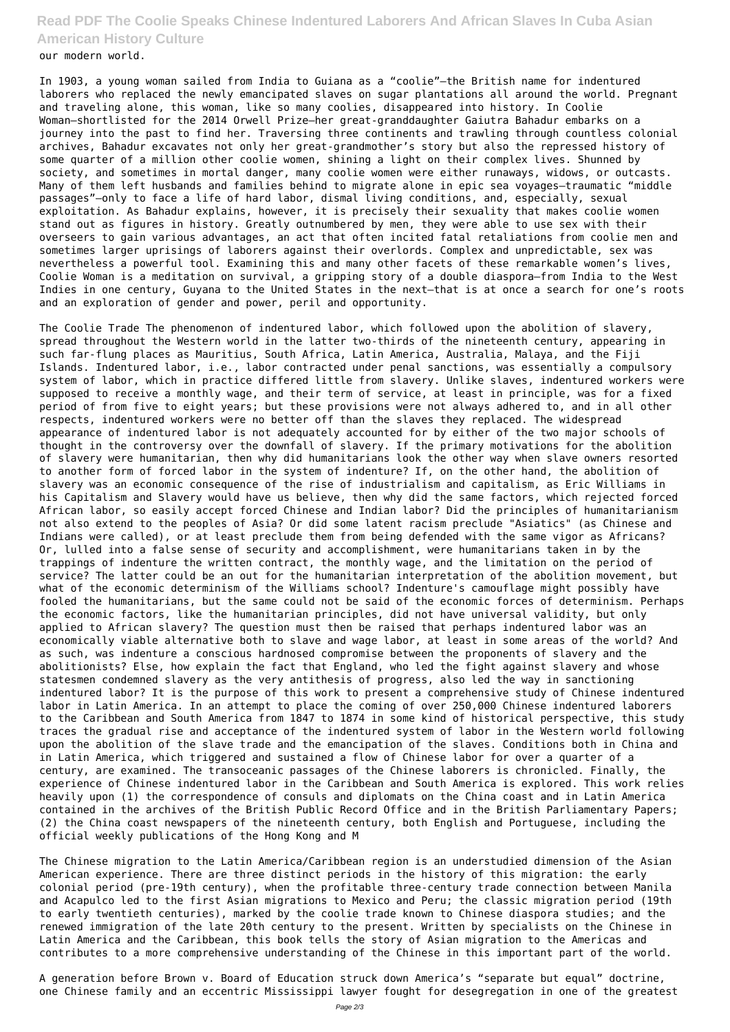## **Read PDF The Coolie Speaks Chinese Indentured Laborers And African Slaves In Cuba Asian American History Culture**

our modern world.

In 1903, a young woman sailed from India to Guiana as a "coolie"—the British name for indentured laborers who replaced the newly emancipated slaves on sugar plantations all around the world. Pregnant and traveling alone, this woman, like so many coolies, disappeared into history. In Coolie Woman—shortlisted for the 2014 Orwell Prize—her great-granddaughter Gaiutra Bahadur embarks on a journey into the past to find her. Traversing three continents and trawling through countless colonial archives, Bahadur excavates not only her great-grandmother's story but also the repressed history of some quarter of a million other coolie women, shining a light on their complex lives. Shunned by society, and sometimes in mortal danger, many coolie women were either runaways, widows, or outcasts. Many of them left husbands and families behind to migrate alone in epic sea voyages—traumatic "middle passages"—only to face a life of hard labor, dismal living conditions, and, especially, sexual exploitation. As Bahadur explains, however, it is precisely their sexuality that makes coolie women stand out as figures in history. Greatly outnumbered by men, they were able to use sex with their overseers to gain various advantages, an act that often incited fatal retaliations from coolie men and sometimes larger uprisings of laborers against their overlords. Complex and unpredictable, sex was nevertheless a powerful tool. Examining this and many other facets of these remarkable women's lives, Coolie Woman is a meditation on survival, a gripping story of a double diaspora—from India to the West Indies in one century, Guyana to the United States in the next—that is at once a search for one's roots and an exploration of gender and power, peril and opportunity.

The Coolie Trade The phenomenon of indentured labor, which followed upon the abolition of slavery, spread throughout the Western world in the latter two-thirds of the nineteenth century, appearing in such far-flung places as Mauritius, South Africa, Latin America, Australia, Malaya, and the Fiji Islands. Indentured labor, i.e., labor contracted under penal sanctions, was essentially a compulsory system of labor, which in practice differed little from slavery. Unlike slaves, indentured workers were supposed to receive a monthly wage, and their term of service, at least in principle, was for a fixed period of from five to eight years; but these provisions were not always adhered to, and in all other respects, indentured workers were no better off than the slaves they replaced. The widespread appearance of indentured labor is not adequately accounted for by either of the two major schools of thought in the controversy over the downfall of slavery. If the primary motivations for the abolition of slavery were humanitarian, then why did humanitarians look the other way when slave owners resorted to another form of forced labor in the system of indenture? If, on the other hand, the abolition of slavery was an economic consequence of the rise of industrialism and capitalism, as Eric Williams in his Capitalism and Slavery would have us believe, then why did the same factors, which rejected forced African labor, so easily accept forced Chinese and Indian labor? Did the principles of humanitarianism not also extend to the peoples of Asia? Or did some latent racism preclude "Asiatics" (as Chinese and Indians were called), or at least preclude them from being defended with the same vigor as Africans? Or, lulled into a false sense of security and accomplishment, were humanitarians taken in by the trappings of indenture the written contract, the monthly wage, and the limitation on the period of service? The latter could be an out for the humanitarian interpretation of the abolition movement, but what of the economic determinism of the Williams school? Indenture's camouflage might possibly have fooled the humanitarians, but the same could not be said of the economic forces of determinism. Perhaps the economic factors, like the humanitarian principles, did not have universal validity, but only applied to African slavery? The question must then be raised that perhaps indentured labor was an economically viable alternative both to slave and wage labor, at least in some areas of the world? And as such, was indenture a conscious hardnosed compromise between the proponents of slavery and the abolitionists? Else, how explain the fact that England, who led the fight against slavery and whose statesmen condemned slavery as the very antithesis of progress, also led the way in sanctioning indentured labor? It is the purpose of this work to present a comprehensive study of Chinese indentured labor in Latin America. In an attempt to place the coming of over 250,000 Chinese indentured laborers to the Caribbean and South America from 1847 to 1874 in some kind of historical perspective, this study traces the gradual rise and acceptance of the indentured system of labor in the Western world following upon the abolition of the slave trade and the emancipation of the slaves. Conditions both in China and in Latin America, which triggered and sustained a flow of Chinese labor for over a quarter of a century, are examined. The transoceanic passages of the Chinese laborers is chronicled. Finally, the experience of Chinese indentured labor in the Caribbean and South America is explored. This work relies heavily upon (1) the correspondence of consuls and diplomats on the China coast and in Latin America contained in the archives of the British Public Record Office and in the British Parliamentary Papers; (2) the China coast newspapers of the nineteenth century, both English and Portuguese, including the official weekly publications of the Hong Kong and M

The Chinese migration to the Latin America/Caribbean region is an understudied dimension of the Asian American experience. There are three distinct periods in the history of this migration: the early colonial period (pre-19th century), when the profitable three-century trade connection between Manila and Acapulco led to the first Asian migrations to Mexico and Peru; the classic migration period (19th to early twentieth centuries), marked by the coolie trade known to Chinese diaspora studies; and the renewed immigration of the late 20th century to the present. Written by specialists on the Chinese in Latin America and the Caribbean, this book tells the story of Asian migration to the Americas and contributes to a more comprehensive understanding of the Chinese in this important part of the world.

A generation before Brown v. Board of Education struck down America's "separate but equal" doctrine, one Chinese family and an eccentric Mississippi lawyer fought for desegregation in one of the greatest